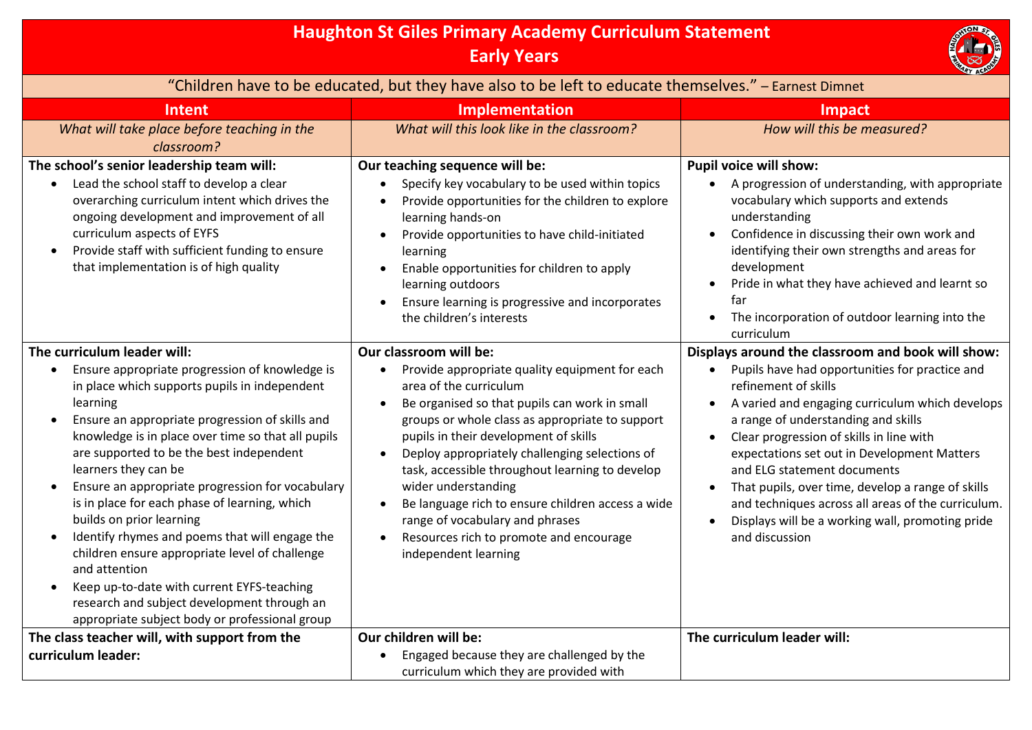## **Haughton St Giles Primary Academy Curriculum Statement Early Years**  "Children have to be educated, but they have also to be left to educate themselves." – Earnest Dimnet **Intent Implementation Impact** *What will take place before teaching in the classroom? What will this look like in the classroom? How will this be measured?* **The school's senior leadership team will:** Lead the school staff to develop a clear overarching curriculum intent which drives the ongoing development and improvement of all curriculum aspects of EYFS • Provide staff with sufficient funding to ensure that implementation is of high quality **Our teaching sequence will be:** Specify key vocabulary to be used within topics Provide opportunities for the children to explore learning hands-on Provide opportunities to have child-initiated learning Enable opportunities for children to apply learning outdoors Ensure learning is progressive and incorporates the children's interests **Pupil voice will show:** A progression of understanding, with appropriate vocabulary which supports and extends understanding Confidence in discussing their own work and identifying their own strengths and areas for development Pride in what they have achieved and learnt so far • The incorporation of outdoor learning into the curriculum **The curriculum leader will:** Ensure appropriate progression of knowledge is in place which supports pupils in independent learning Ensure an appropriate progression of skills and knowledge is in place over time so that all pupils are supported to be the best independent learners they can be Ensure an appropriate progression for vocabulary is in place for each phase of learning, which builds on prior learning Identify rhymes and poems that will engage the children ensure appropriate level of challenge and attention Keep up-to-date with current EYFS-teaching research and subject development through an appropriate subject body or professional group **Our classroom will be:** • Provide appropriate quality equipment for each area of the curriculum Be organised so that pupils can work in small groups or whole class as appropriate to support pupils in their development of skills Deploy appropriately challenging selections of task, accessible throughout learning to develop wider understanding Be language rich to ensure children access a wide range of vocabulary and phrases Resources rich to promote and encourage independent learning **Displays around the classroom and book will show:** Pupils have had opportunities for practice and refinement of skills A varied and engaging curriculum which develops a range of understanding and skills Clear progression of skills in line with expectations set out in Development Matters and ELG statement documents • That pupils, over time, develop a range of skills and techniques across all areas of the curriculum. Displays will be a working wall, promoting pride and discussion **The class teacher will, with support from the curriculum leader: Our children will be:** • Engaged because they are challenged by the curriculum which they are provided with **The curriculum leader will:**